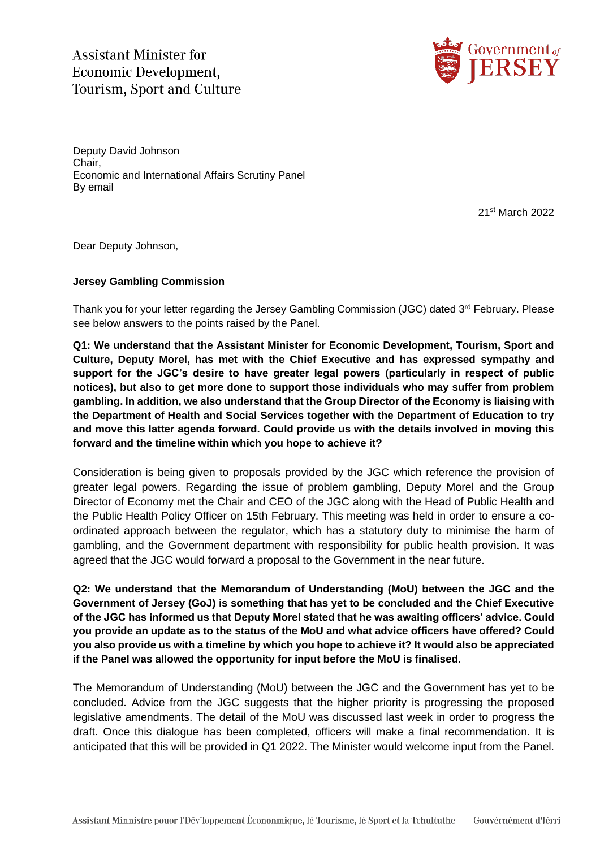**Assistant Minister for** Economic Development. **Tourism, Sport and Culture** 



Deputy David Johnson Chair, Economic and International Affairs Scrutiny Panel By email

21st March 2022

Dear Deputy Johnson,

## **Jersey Gambling Commission**

Thank you for your letter regarding the Jersey Gambling Commission (JGC) dated 3rd February. Please see below answers to the points raised by the Panel.

**Q1: We understand that the Assistant Minister for Economic Development, Tourism, Sport and Culture, Deputy Morel, has met with the Chief Executive and has expressed sympathy and support for the JGC's desire to have greater legal powers (particularly in respect of public notices), but also to get more done to support those individuals who may suffer from problem gambling. In addition, we also understand that the Group Director of the Economy is liaising with the Department of Health and Social Services together with the Department of Education to try and move this latter agenda forward. Could provide us with the details involved in moving this forward and the timeline within which you hope to achieve it?**

Consideration is being given to proposals provided by the JGC which reference the provision of greater legal powers. Regarding the issue of problem gambling, Deputy Morel and the Group Director of Economy met the Chair and CEO of the JGC along with the Head of Public Health and the Public Health Policy Officer on 15th February. This meeting was held in order to ensure a coordinated approach between the regulator, which has a statutory duty to minimise the harm of gambling, and the Government department with responsibility for public health provision. It was agreed that the JGC would forward a proposal to the Government in the near future.

**Q2: We understand that the Memorandum of Understanding (MoU) between the JGC and the Government of Jersey (GoJ) is something that has yet to be concluded and the Chief Executive of the JGC has informed us that Deputy Morel stated that he was awaiting officers' advice. Could you provide an update as to the status of the MoU and what advice officers have offered? Could you also provide us with a timeline by which you hope to achieve it? It would also be appreciated if the Panel was allowed the opportunity for input before the MoU is finalised.**

The Memorandum of Understanding (MoU) between the JGC and the Government has yet to be concluded. Advice from the JGC suggests that the higher priority is progressing the proposed legislative amendments. The detail of the MoU was discussed last week in order to progress the draft. Once this dialogue has been completed, officers will make a final recommendation. It is anticipated that this will be provided in Q1 2022. The Minister would welcome input from the Panel.